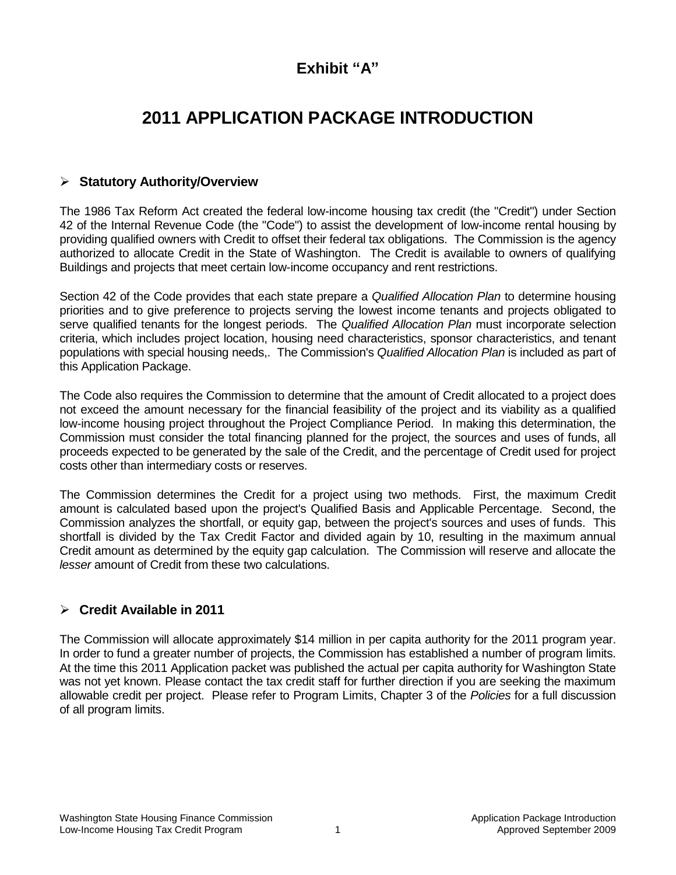# **Exhibit "A"**

# **2011 APPLICATION PACKAGE INTRODUCTION**

# **Statutory Authority/Overview**

The 1986 Tax Reform Act created the federal low-income housing tax credit (the "Credit") under Section 42 of the Internal Revenue Code (the "Code") to assist the development of low-income rental housing by providing qualified owners with Credit to offset their federal tax obligations. The Commission is the agency authorized to allocate Credit in the State of Washington. The Credit is available to owners of qualifying Buildings and projects that meet certain low-income occupancy and rent restrictions.

Section 42 of the Code provides that each state prepare a *Qualified Allocation Plan* to determine housing priorities and to give preference to projects serving the lowest income tenants and projects obligated to serve qualified tenants for the longest periods. The *Qualified Allocation Plan* must incorporate selection criteria, which includes project location, housing need characteristics, sponsor characteristics, and tenant populations with special housing needs,. The Commission's *Qualified Allocation Plan* is included as part of this Application Package.

The Code also requires the Commission to determine that the amount of Credit allocated to a project does not exceed the amount necessary for the financial feasibility of the project and its viability as a qualified low-income housing project throughout the Project Compliance Period. In making this determination, the Commission must consider the total financing planned for the project, the sources and uses of funds, all proceeds expected to be generated by the sale of the Credit, and the percentage of Credit used for project costs other than intermediary costs or reserves.

The Commission determines the Credit for a project using two methods. First, the maximum Credit amount is calculated based upon the project's Qualified Basis and Applicable Percentage. Second, the Commission analyzes the shortfall, or equity gap, between the project's sources and uses of funds. This shortfall is divided by the Tax Credit Factor and divided again by 10, resulting in the maximum annual Credit amount as determined by the equity gap calculation. The Commission will reserve and allocate the *lesser* amount of Credit from these two calculations.

# **Credit Available in 2011**

The Commission will allocate approximately \$14 million in per capita authority for the 2011 program year. In order to fund a greater number of projects, the Commission has established a number of program limits. At the time this 2011 Application packet was published the actual per capita authority for Washington State was not yet known. Please contact the tax credit staff for further direction if you are seeking the maximum allowable credit per project. Please refer to Program Limits, Chapter 3 of the *Policies* for a full discussion of all program limits.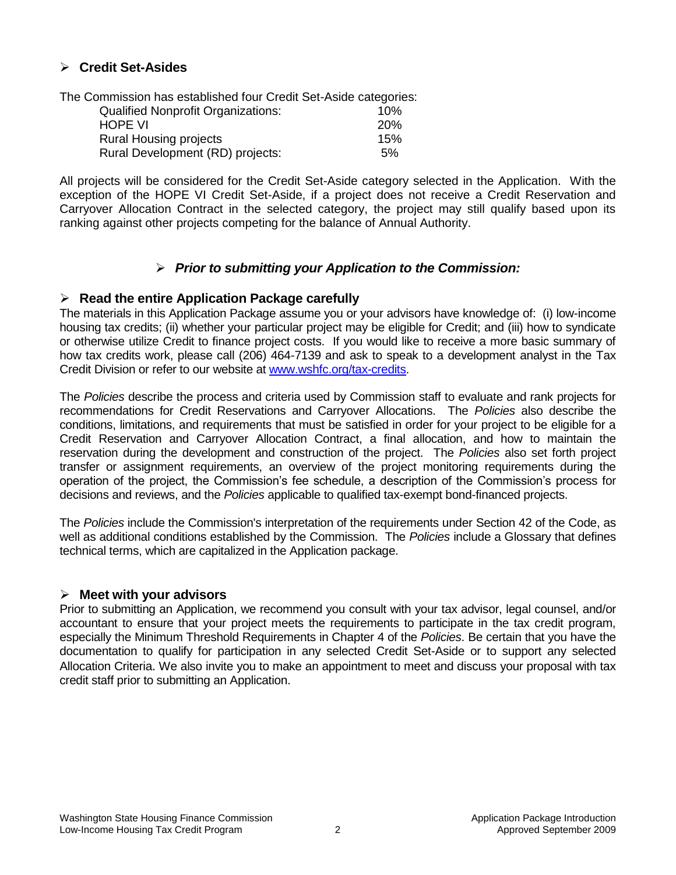### **Credit Set-Asides**

The Commission has established four Credit Set-Aside categories: Qualified Nonprofit Organizations: 10%

| <b>HOPE VI</b>                   | <b>20%</b> |
|----------------------------------|------------|
| <b>Rural Housing projects</b>    | 15%        |
| Rural Development (RD) projects: | 5%         |

All projects will be considered for the Credit Set-Aside category selected in the Application. With the exception of the HOPE VI Credit Set-Aside, if a project does not receive a Credit Reservation and Carryover Allocation Contract in the selected category, the project may still qualify based upon its ranking against other projects competing for the balance of Annual Authority.

#### *Prior to submitting your Application to the Commission:*

#### **Read the entire Application Package carefully**

The materials in this Application Package assume you or your advisors have knowledge of: (i) low-income housing tax credits; (ii) whether your particular project may be eligible for Credit; and (iii) how to syndicate or otherwise utilize Credit to finance project costs. If you would like to receive a more basic summary of how tax credits work, please call (206) 464-7139 and ask to speak to a development analyst in the Tax Credit Division or refer to our website at [www.wshfc.org/tax-credits.](http://www.wshfc.org/tax-credits)

The *Policies* describe the process and criteria used by Commission staff to evaluate and rank projects for recommendations for Credit Reservations and Carryover Allocations. The *Policies* also describe the conditions, limitations, and requirements that must be satisfied in order for your project to be eligible for a Credit Reservation and Carryover Allocation Contract, a final allocation, and how to maintain the reservation during the development and construction of the project. The *Policies* also set forth project transfer or assignment requirements, an overview of the project monitoring requirements during the operation of the project, the Commission's fee schedule, a description of the Commission's process for decisions and reviews, and the *Policies* applicable to qualified tax-exempt bond-financed projects.

The *Policies* include the Commission's interpretation of the requirements under Section 42 of the Code, as well as additional conditions established by the Commission. The *Policies* include a Glossary that defines technical terms, which are capitalized in the Application package.

#### **Meet with your advisors**

Prior to submitting an Application, we recommend you consult with your tax advisor, legal counsel, and/or accountant to ensure that your project meets the requirements to participate in the tax credit program, especially the Minimum Threshold Requirements in Chapter 4 of the *Policies*. Be certain that you have the documentation to qualify for participation in any selected Credit Set-Aside or to support any selected Allocation Criteria. We also invite you to make an appointment to meet and discuss your proposal with tax credit staff prior to submitting an Application.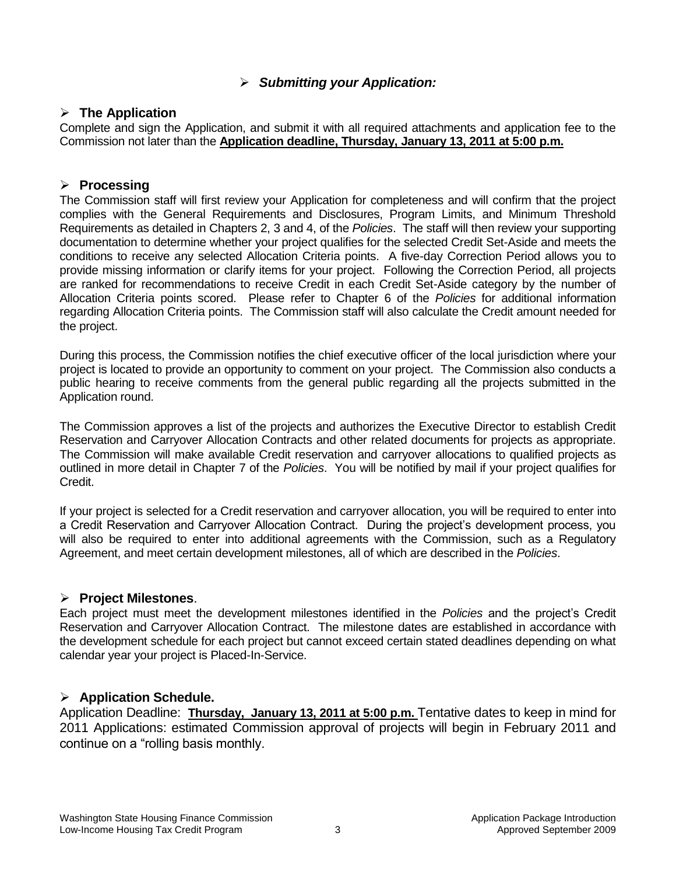# *Submitting your Application:*

### **The Application**

Complete and sign the Application, and submit it with all required attachments and application fee to the Commission not later than the **Application deadline, Thursday, January 13, 2011 at 5:00 p.m.**

## **Processing**

The Commission staff will first review your Application for completeness and will confirm that the project complies with the General Requirements and Disclosures, Program Limits, and Minimum Threshold Requirements as detailed in Chapters 2, 3 and 4, of the *Policies*. The staff will then review your supporting documentation to determine whether your project qualifies for the selected Credit Set-Aside and meets the conditions to receive any selected Allocation Criteria points. A five-day Correction Period allows you to provide missing information or clarify items for your project. Following the Correction Period, all projects are ranked for recommendations to receive Credit in each Credit Set-Aside category by the number of Allocation Criteria points scored. Please refer to Chapter 6 of the *Policies* for additional information regarding Allocation Criteria points. The Commission staff will also calculate the Credit amount needed for the project.

During this process, the Commission notifies the chief executive officer of the local jurisdiction where your project is located to provide an opportunity to comment on your project. The Commission also conducts a public hearing to receive comments from the general public regarding all the projects submitted in the Application round.

The Commission approves a list of the projects and authorizes the Executive Director to establish Credit Reservation and Carryover Allocation Contracts and other related documents for projects as appropriate. The Commission will make available Credit reservation and carryover allocations to qualified projects as outlined in more detail in Chapter 7 of the *Policies*. You will be notified by mail if your project qualifies for Credit.

If your project is selected for a Credit reservation and carryover allocation, you will be required to enter into a Credit Reservation and Carryover Allocation Contract. During the project's development process, you will also be required to enter into additional agreements with the Commission, such as a Regulatory Agreement, and meet certain development milestones, all of which are described in the *Policies*.

# **Project Milestones**.

Each project must meet the development milestones identified in the *Policies* and the project's Credit Reservation and Carryover Allocation Contract. The milestone dates are established in accordance with the development schedule for each project but cannot exceed certain stated deadlines depending on what calendar year your project is Placed-In-Service.

# **Application Schedule.**

Application Deadline: **Thursday, January 13, 2011 at 5:00 p.m.** Tentative dates to keep in mind for 2011 Applications: estimated Commission approval of projects will begin in February 2011 and continue on a "rolling basis monthly.